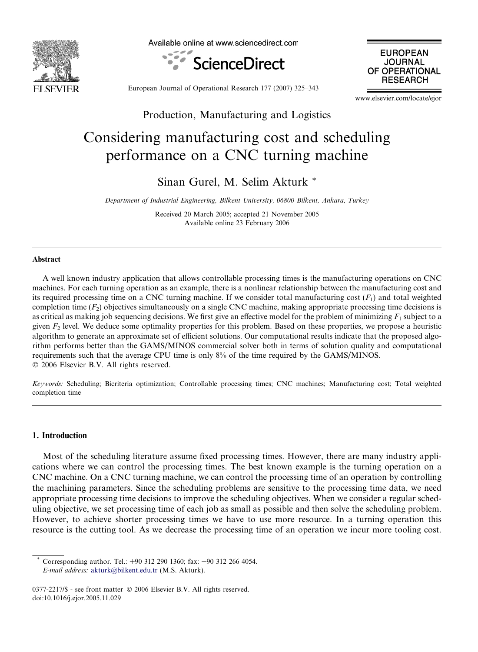

Available online at www.sciencedirect.com





European Journal of Operational Research 177 (2007) 325–343

www.elsevier.com/locate/ejor

## Production, Manufacturing and Logistics

# Considering manufacturing cost and scheduling performance on a CNC turning machine

Sinan Gurel, M. Selim Akturk \*

Department of Industrial Engineering, Bilkent University, 06800 Bilkent, Ankara, Turkey

Received 20 March 2005; accepted 21 November 2005 Available online 23 February 2006

## Abstract

A well known industry application that allows controllable processing times is the manufacturing operations on CNC machines. For each turning operation as an example, there is a nonlinear relationship between the manufacturing cost and its required processing time on a CNC turning machine. If we consider total manufacturing cost  $(F_1)$  and total weighted completion time  $(F_2)$  objectives simultaneously on a single CNC machine, making appropriate processing time decisions is as critical as making job sequencing decisions. We first give an effective model for the problem of minimizing  $F_1$  subject to a given  $F_2$  level. We deduce some optimality properties for this problem. Based on these properties, we propose a heuristic algorithm to generate an approximate set of efficient solutions. Our computational results indicate that the proposed algorithm performs better than the GAMS/MINOS commercial solver both in terms of solution quality and computational requirements such that the average CPU time is only 8% of the time required by the GAMS/MINOS. © 2006 Elsevier B.V. All rights reserved.

Keywords: Scheduling; Bicriteria optimization; Controllable processing times; CNC machines; Manufacturing cost; Total weighted completion time

### 1. Introduction

Most of the scheduling literature assume fixed processing times. However, there are many industry applications where we can control the processing times. The best known example is the turning operation on a CNC machine. On a CNC turning machine, we can control the processing time of an operation by controlling the machining parameters. Since the scheduling problems are sensitive to the processing time data, we need appropriate processing time decisions to improve the scheduling objectives. When we consider a regular scheduling objective, we set processing time of each job as small as possible and then solve the scheduling problem. However, to achieve shorter processing times we have to use more resource. In a turning operation this resource is the cutting tool. As we decrease the processing time of an operation we incur more tooling cost.

Corresponding author. Tel.:  $+90$  312 290 1360; fax:  $+90$  312 266 4054. E-mail address: [akturk@bilkent.edu.tr](mailto:akturk@bilkent.edu.tr) (M.S. Akturk).

<sup>0377-2217/\$ -</sup> see front matter © 2006 Elsevier B.V. All rights reserved. doi:10.1016/j.ejor.2005.11.029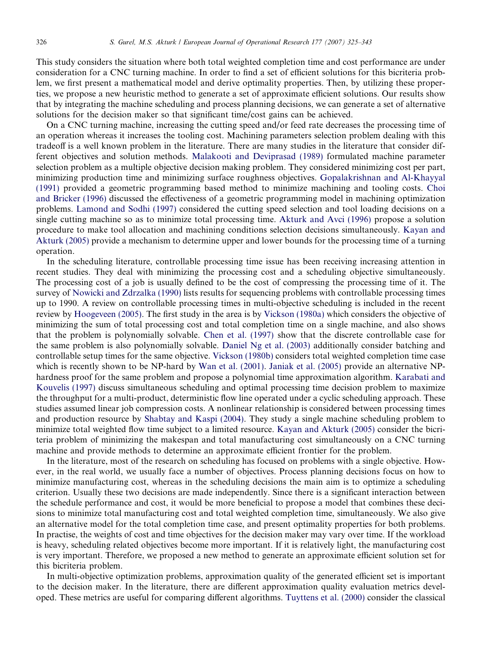This study considers the situation where both total weighted completion time and cost performance are under consideration for a CNC turning machine. In order to find a set of efficient solutions for this bicriteria problem, we first present a mathematical model and derive optimality properties. Then, by utilizing these properties, we propose a new heuristic method to generate a set of approximate efficient solutions. Our results show that by integrating the machine scheduling and process planning decisions, we can generate a set of alternative solutions for the decision maker so that significant time/cost gains can be achieved.

On a CNC turning machine, increasing the cutting speed and/or feed rate decreases the processing time of an operation whereas it increases the tooling cost. Machining parameters selection problem dealing with this tradeoff is a well known problem in the literature. There are many studies in the literature that consider different objectives and solution methods. [Malakooti and Deviprasad \(1989\)](#page-17-0) formulated machine parameter selection problem as a multiple objective decision making problem. They considered minimizing cost per part, minimizing production time and minimizing surface roughness objectives. [Gopalakrishnan and Al-Khayyal](#page-17-0) [\(1991\)](#page-17-0) provided a geometric programming based method to minimize machining and tooling costs. [Choi](#page-17-0) [and Bricker \(1996\)](#page-17-0) discussed the effectiveness of a geometric programming model in machining optimization problems. [Lamond and Sodhi \(1997\)](#page-17-0) considered the cutting speed selection and tool loading decisions on a single cutting machine so as to minimize total processing time. [Akturk and Avci \(1996\)](#page-17-0) propose a solution procedure to make tool allocation and machining conditions selection decisions simultaneously. [Kayan and](#page-17-0) [Akturk \(2005\)](#page-17-0) provide a mechanism to determine upper and lower bounds for the processing time of a turning operation.

In the scheduling literature, controllable processing time issue has been receiving increasing attention in recent studies. They deal with minimizing the processing cost and a scheduling objective simultaneously. The processing cost of a job is usually defined to be the cost of compressing the processing time of it. The survey of [Nowicki and Zdrzalka \(1990\)](#page-17-0) lists results for sequencing problems with controllable processing times up to 1990. A review on controllable processing times in multi-objective scheduling is included in the recent review by [Hoogeveen \(2005\)](#page-17-0). The first study in the area is by [Vickson \(1980a\)](#page-18-0) which considers the objective of minimizing the sum of total processing cost and total completion time on a single machine, and also shows that the problem is polynomially solvable. [Chen et al. \(1997\)](#page-17-0) show that the discrete controllable case for the same problem is also polynomially solvable. [Daniel Ng et al. \(2003\)](#page-17-0) additionally consider batching and controllable setup times for the same objective. [Vickson \(1980b\)](#page-18-0) considers total weighted completion time case which is recently shown to be NP-hard by [Wan et al. \(2001\).](#page-18-0) [Janiak et al. \(2005\)](#page-17-0) provide an alternative NPhardness proof for the same problem and propose a polynomial time approximation algorithm. [Karabati and](#page-17-0) [Kouvelis \(1997\)](#page-17-0) discuss simultaneous scheduling and optimal processing time decision problem to maximize the throughput for a multi-product, deterministic flow line operated under a cyclic scheduling approach. These studies assumed linear job compression costs. A nonlinear relationship is considered between processing times and production resource by [Shabtay and Kaspi \(2004\).](#page-17-0) They study a single machine scheduling problem to minimize total weighted flow time subject to a limited resource. [Kayan and Akturk \(2005\)](#page-17-0) consider the bicriteria problem of minimizing the makespan and total manufacturing cost simultaneously on a CNC turning machine and provide methods to determine an approximate efficient frontier for the problem.

In the literature, most of the research on scheduling has focused on problems with a single objective. However, in the real world, we usually face a number of objectives. Process planning decisions focus on how to minimize manufacturing cost, whereas in the scheduling decisions the main aim is to optimize a scheduling criterion. Usually these two decisions are made independently. Since there is a significant interaction between the schedule performance and cost, it would be more beneficial to propose a model that combines these decisions to minimize total manufacturing cost and total weighted completion time, simultaneously. We also give an alternative model for the total completion time case, and present optimality properties for both problems. In practise, the weights of cost and time objectives for the decision maker may vary over time. If the workload is heavy, scheduling related objectives become more important. If it is relatively light, the manufacturing cost is very important. Therefore, we proposed a new method to generate an approximate efficient solution set for this bicriteria problem.

In multi-objective optimization problems, approximation quality of the generated efficient set is important to the decision maker. In the literature, there are different approximation quality evaluation metrics developed. These metrics are useful for comparing different algorithms. [Tuyttens et al. \(2000\)](#page-18-0) consider the classical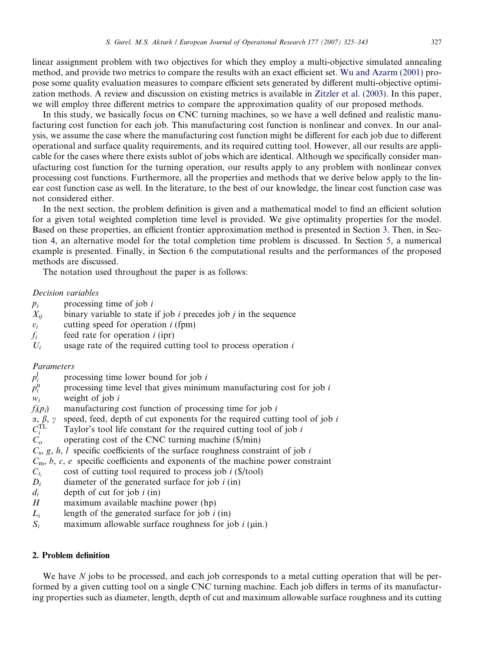<span id="page-2-0"></span>linear assignment problem with two objectives for which they employ a multi-objective simulated annealing method, and provide two metrics to compare the results with an exact efficient set. [Wu and Azarm \(2001\)](#page-18-0) propose some quality evaluation measures to compare efficient sets generated by different multi-objective optimization methods. A review and discussion on existing metrics is available in [Zitzler et al. \(2003\).](#page-18-0) In this paper, we will employ three different metrics to compare the approximation quality of our proposed methods.

In this study, we basically focus on CNC turning machines, so we have a well defined and realistic manufacturing cost function for each job. This manufacturing cost function is nonlinear and convex. In our analysis, we assume the case where the manufacturing cost function might be different for each job due to different operational and surface quality requirements, and its required cutting tool. However, all our results are applicable for the cases where there exists sublot of jobs which are identical. Although we specifically consider manufacturing cost function for the turning operation, our results apply to any problem with nonlinear convex processing cost functions. Furthermore, all the properties and methods that we derive below apply to the linear cost function case as well. In the literature, to the best of our knowledge, the linear cost function case was not considered either.

In the next section, the problem definition is given and a mathematical model to find an efficient solution for a given total weighted completion time level is provided. We give optimality properties for the model. Based on these properties, an efficient frontier approximation method is presented in Section [3](#page-7-0). Then, in Section [4,](#page-9-0) an alternative model for the total completion time problem is discussed. In Section [5](#page-11-0), a numerical example is presented. Finally, in Section [6](#page-13-0) the computational results and the performances of the proposed methods are discussed.

The notation used throughout the paper is as follows:

## Decision variables

- $p_i$  processing time of job i
- $X_{ii}$  binary variable to state if job i precedes job j in the sequence
- $v_i$  cutting speed for operation i (fpm)
- $f_i$  feed rate for operation *i* (ipr)
- $U_i$  usage rate of the required cutting tool to process operation i

## Parameters

- $p_{i}^{l}$ processing time lower bound for job  $i$
- $p_i^{\rm u}$ processing time level that gives minimum manufacturing cost for job  $i$
- $w_i$  weight of job i
- $f_i(p_i)$  manufacturing cost function of processing time for job i
- $\alpha$ ,  $\beta$ ,  $\gamma$  speed, feed, depth of cut exponents for the required cutting tool of job i
- $C_i^{\text{TL}}$  $C_i^{\text{TL}}$  Taylor's tool life constant for the required cutting tool of job i<br>  $C_o$  operating cost of the CNC turning machine (\$/min)
- operating cost of the CNC turning machine  $(\frac{5}{min})$
- $C_s$ , g, h, l specific coefficients of the surface roughness constraint of job i
- $C<sub>m</sub>$ , b, c, e specific coefficients and exponents of the machine power constraint
- $C_t$  cost of cutting tool required to process job i (\$/tool)
- $D_i$  diameter of the generated surface for job i (in)
- $d_i$  depth of cut for job i (in)
- H maximum available machine power (hp)
- $L_i$  length of the generated surface for job i (in)
- $S_i$  maximum allowable surface roughness for job *i* ( $\mu$ in.)

## 2. Problem definition

We have  $N$  jobs to be processed, and each job corresponds to a metal cutting operation that will be performed by a given cutting tool on a single CNC turning machine. Each job differs in terms of its manufacturing properties such as diameter, length, depth of cut and maximum allowable surface roughness and its cutting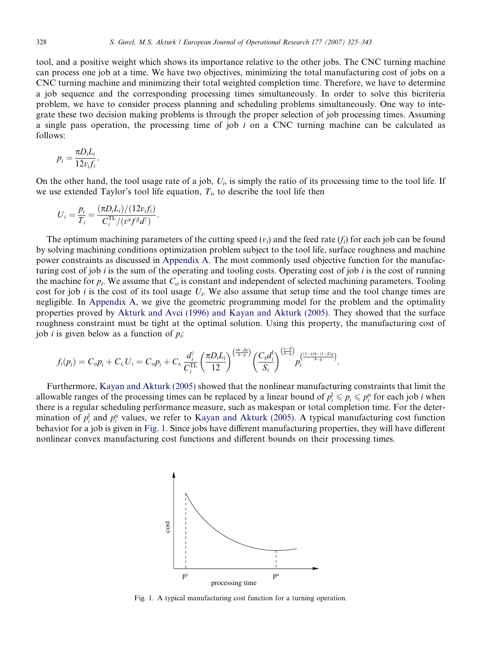<span id="page-3-0"></span>tool, and a positive weight which shows its importance relative to the other jobs. The CNC turning machine can process one job at a time. We have two objectives, minimizing the total manufacturing cost of jobs on a CNC turning machine and minimizing their total weighted completion time. Therefore, we have to determine a job sequence and the corresponding processing times simultaneously. In order to solve this bicriteria problem, we have to consider process planning and scheduling problems simultaneously. One way to integrate these two decision making problems is through the proper selection of job processing times. Assuming a single pass operation, the processing time of job  $i$  on a CNC turning machine can be calculated as follows:

$$
p_i = \frac{\pi D_i L_i}{12v_i f_i}.
$$

On the other hand, the tool usage rate of a job,  $U_i$ , is simply the ratio of its processing time to the tool life. If we use extended Taylor's tool life equation,  $T_i$ , to describe the tool life then

$$
U_i = \frac{p_i}{T_i} = \frac{(\pi D_i L_i)/(12v_i f_i)}{C_i^{\text{TL}}/(v^{\alpha} f^{\beta} d^{\gamma})}.
$$

The optimum machining parameters of the cutting speed  $(v_i)$  and the feed rate  $(f_i)$  for each job can be found by solving machining conditions optimization problem subject to the tool life, surface roughness and machine power constraints as discussed in [Appendix A.](#page-17-0) The most commonly used objective function for the manufacturing cost of job i is the sum of the operating and tooling costs. Operating cost of job i is the cost of running the machine for  $p_i$ . We assume that  $C_0$  is constant and independent of selected machining parameters. Tooling cost for job i is the cost of its tool usage  $U_i$ . We also assume that setup time and the tool change times are negligible. In [Appendix A,](#page-17-0) we give the geometric programming model for the problem and the optimality properties proved by [Akturk and Avci \(1996\) and Kayan and Akturk \(2005\).](#page-17-0) They showed that the surface roughness constraint must be tight at the optimal solution. Using this property, the manufacturing cost of job *i* is given below as a function of  $p_i$ :

$$
f_i(p_i) = C_o p_i + C_{t_i} U_i = C_o p_i + C_{t_i} \frac{d_i^{\gamma}}{C_i^{\text{TL}}} \left(\frac{\pi D_i L_i}{12}\right)^{\left(\frac{2h - \beta g}{h - g}\right)} \left(\frac{C_s d_i^1}{S_i}\right)^{\left(\frac{\gamma - \beta}{h - g}\right)} p_i^{\left(\frac{(1 - \alpha)h - (1 - \beta)g}{h - g}\right)}.
$$

Furthermore, [Kayan and Akturk \(2005\)](#page-17-0) showed that the nonlinear manufacturing constraints that limit the allowable ranges of the processing times can be replaced by a linear bound of  $p_i^1 \leq p_i \leq p_i^n$  for each job *i* when there is a regular scheduling performance measure, such as makespan or total completion time. For the determination of  $p_i^{\parallel}$  and  $p_i^{\parallel}$  values, we refer to [Kayan and Akturk \(2005\)](#page-17-0). A typical manufacturing cost function behavior for a job is given in Fig. 1. Since jobs have different manufacturing properties, they will have different nonlinear convex manufacturing cost functions and different bounds on their processing times.



Fig. 1. A typical manufacturing cost function for a turning operation.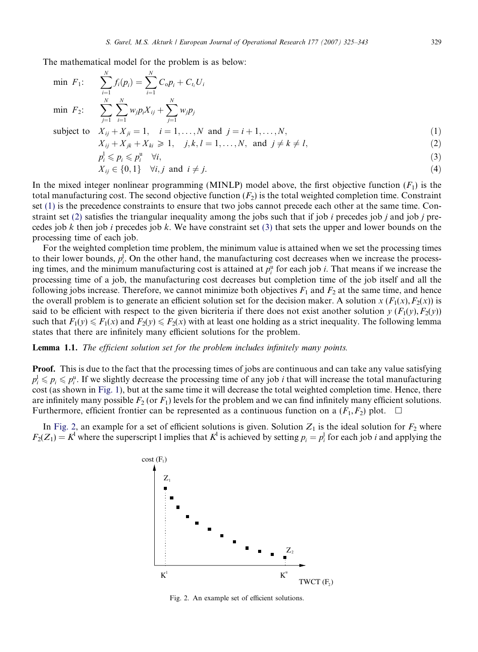<span id="page-4-0"></span>The mathematical model for the problem is as below:

$$
\min F_1: \quad \sum_{i=1}^{N} f_i(p_i) = \sum_{i=1}^{N} C_o p_i + C_{t_i} U_i
$$
\n
$$
\min F_2: \quad \sum_{j=1}^{N} \sum_{i=1}^{N} w_j p_i X_{ij} + \sum_{j=1}^{N} w_j p_j
$$
\n
$$
\text{subject to} \quad X_{ij} + X_{ji} = 1, \quad i = 1, ..., N \text{ and } j = i + 1, ..., N,
$$
\n
$$
X_{ij} + X_{jk} + X_{ki} \geq 1, \quad j, k, l = 1, ..., N, \text{ and } j \neq k \neq l,
$$
\n
$$
p_i^1 \leq p_i \leq p_i^u \quad \forall i,
$$
\n
$$
X_{ij} \in \{0, 1\} \quad \forall i, j \text{ and } i \neq j.
$$
\n(4)

In the mixed integer nonlinear programming (MINLP) model above, the first objective function  $(F_1)$  is the total manufacturing cost. The second objective function  $(F_2)$  is the total weighted completion time. Constraint set (1) is the precedence constraints to ensure that two jobs cannot precede each other at the same time. Constraint set (2) satisfies the triangular inequality among the jobs such that if job i precedes job j and job j precedes job k then job i precedes job k. We have constraint set (3) that sets the upper and lower bounds on the processing time of each job.

For the weighted completion time problem, the minimum value is attained when we set the processing times to their lower bounds,  $p_i^{\dagger}$ . On the other hand, the manufacturing cost decreases when we increase the processing times, and the minimum manufacturing cost is attained at  $p_i^u$  for each job *i*. That means if we increase the processing time of a job, the manufacturing cost decreases but completion time of the job itself and all the following jobs increase. Therefore, we cannot minimize both objectives  $F_1$  and  $F_2$  at the same time, and hence the overall problem is to generate an efficient solution set for the decision maker. A solution  $x(F_1(x), F_2(x))$  is said to be efficient with respect to the given bicriteria if there does not exist another solution  $y(F_1(y), F_2(y))$ such that  $F_1(y) \le F_1(x)$  and  $F_2(y) \le F_2(x)$  with at least one holding as a strict inequality. The following lemma states that there are infinitely many efficient solutions for the problem.

## Lemma 1.1. The efficient solution set for the problem includes infinitely many points.

**Proof.** This is due to the fact that the processing times of jobs are continuous and can take any value satisfying  $p_i^1 \leqslant p_i \leqslant p_i^u$ . If we slightly decrease the processing time of any job *i* that will increase the total manufacturing cost (as shown in [Fig. 1](#page-3-0)), but at the same time it will decrease the total weighted completion time. Hence, there are infinitely many possible  $F_2$  (or  $F_1$ ) levels for the problem and we can find infinitely many efficient solutions. Furthermore, efficient frontier can be represented as a continuous function on a  $(F_1, F_2)$  plot.

In Fig. 2, an example for a set of efficient solutions is given. Solution  $Z_1$  is the ideal solution for  $F_2$  where  $F_2(Z_1) = K^1$  where the superscript 1 implies that  $K^1$  is achieved by setting  $p_i = p_i^1$  for each job *i* and applying the



Fig. 2. An example set of efficient solutions.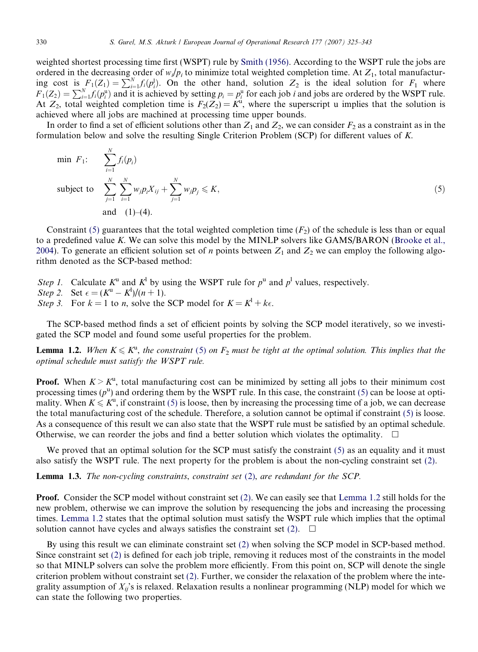<span id="page-5-0"></span>weighted shortest processing time first (WSPT) rule by [Smith \(1956\)](#page-18-0). According to the WSPT rule the jobs are ordered in the decreasing order of  $w_i/p_i$  to minimize total weighted completion time. At  $Z_1$ , total manufacturing cost is  $F_1(Z_1) = \sum_{i=1}^{N} f_i(p_i^1)$ . On the other hand, solution  $Z_2$  is the ideal solution for  $F_1$  where  $F_1(Z_2) = \sum_{i=1}^{N} f_i(p_i^u)$  and it is achieved by setting  $p_i = p_i^u$  for each job *i* and jobs are ordered by the WSPT rule. At  $Z_2$ , total weighted completion time is  $F_2(Z_2) = K^u$ , where the superscript u implies that the solution is achieved where all jobs are machined at processing time upper bounds.

In order to find a set of efficient solutions other than  $Z_1$  and  $Z_2$ , we can consider  $F_2$  as a constraint as in the formulation below and solve the resulting Single Criterion Problem (SCP) for different values of K.

min 
$$
F_1
$$
: 
$$
\sum_{i=1}^{N} f_i(p_i)
$$
  
subject to 
$$
\sum_{j=1}^{N} \sum_{i=1}^{N} w_j p_i X_{ij} + \sum_{j=1}^{N} w_j p_j \le K,
$$
  
and (1)–(4). (5)

Constraint (5) guarantees that the total weighted completion time  $(F<sub>2</sub>)$  of the schedule is less than or equal to a predefined value K. We can solve this model by the MINLP solvers like GAMS/BARON [\(Brooke et al.,](#page-17-0) [2004](#page-17-0)). To generate an efficient solution set of *n* points between  $Z_1$  and  $Z_2$  we can employ the following algorithm denoted as the SCP-based method:

Step 1. Calculate  $K^u$  and  $K^d$  by using the WSPT rule for  $p^u$  and  $p^l$  values, respectively.

Step 2. Set  $\epsilon = (K^u - K^d)/(n + 1)$ .

Step 3. For  $k = 1$  to n, solve the SCP model for  $K = K^1 + k\epsilon$ .

The SCP-based method finds a set of efficient points by solving the SCP model iteratively, so we investigated the SCP model and found some useful properties for the problem.

**Lemma 1.2.** When  $K \leq K^u$ , the constraint (5) on  $F_2$  must be tight at the optimal solution. This implies that the optimal schedule must satisfy the WSPT rule.

**Proof.** When  $K > K<sup>u</sup>$ , total manufacturing cost can be minimized by setting all jobs to their minimum cost processing times  $(p^u)$  and ordering them by the WSPT rule. In this case, the constraint (5) can be loose at optimality. When  $K \leq K^u$ , if constraint (5) is loose, then by increasing the processing time of a job, we can decrease the total manufacturing cost of the schedule. Therefore, a solution cannot be optimal if constraint (5) is loose. As a consequence of this result we can also state that the WSPT rule must be satisfied by an optimal schedule. Otherwise, we can reorder the jobs and find a better solution which violates the optimality.  $\Box$ 

We proved that an optimal solution for the SCP must satisfy the constraint (5) as an equality and it must also satisfy the WSPT rule. The next property for the problem is about the non-cycling constraint set (2).

**Lemma 1.3.** The non-cycling constraints, constraint set  $(2)$ , are redundant for the SCP.

**Proof.** Consider the SCP model without constraint set (2). We can easily see that Lemma 1.2 still holds for the new problem, otherwise we can improve the solution by resequencing the jobs and increasing the processing times. Lemma 1.2 states that the optimal solution must satisfy the WSPT rule which implies that the optimal solution cannot have cycles and always satisfies the constraint set (2).  $\Box$ 

By using this result we can eliminate constraint set (2) when solving the SCP model in SCP-based method. Since constraint set (2) is defined for each job triple, removing it reduces most of the constraints in the model so that MINLP solvers can solve the problem more efficiently. From this point on, SCP will denote the single criterion problem without constraint set (2). Further, we consider the relaxation of the problem where the integrality assumption of  $X_{ii}$ 's is relaxed. Relaxation results a nonlinear programming (NLP) model for which we can state the following two properties.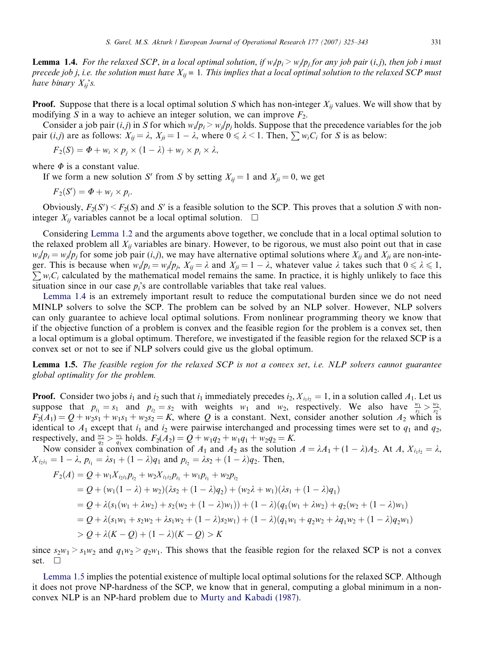<span id="page-6-0"></span>**Lemma 1.4.** For the relaxed SCP, in a local optimal solution, if  $w_i/p_i > w_i/p_i$  for any job pair (i,j), then job i must precede job j, i.e. the solution must have  $X_{ij} = 1$ . This implies that a local optimal solution to the relaxed SCP must have binary  $X_{ii}$ 's.

**Proof.** Suppose that there is a local optimal solution S which has non-integer  $X_{ij}$  values. We will show that by modifying S in a way to achieve an integer solution, we can improve  $F_2$ .

Consider a job pair (i,j) in S for which  $w_i/p_i > w_j/p_j$  holds. Suppose that the precedence variables for the job pair  $(i,j)$  are as follows:  $X_{ij} = \lambda$ ,  $X_{ji} = 1 - \lambda$ , where  $0 \le \lambda < 1$ . Then,  $\sum w_i C_i$  for S is as below:

$$
F_2(S) = \Phi + w_i \times p_j \times (1 - \lambda) + w_j \times p_i \times \lambda,
$$

where  $\Phi$  is a constant value.

If we form a new solution S' from S by setting  $X_{ii} = 1$  and  $X_{ii} = 0$ , we get

 $F_2(S') = \Phi + w_j \times p_i.$ 

Obviously,  $F_2(S') \le F_2(S)$  and S' is a feasible solution to the SCP. This proves that a solution S with noninteger  $X_{ii}$  variables cannot be a local optimal solution.  $\Box$ 

Considering [Lemma 1.2](#page-5-0) and the arguments above together, we conclude that in a local optimal solution to the relaxed problem all  $X_{ij}$  variables are binary. However, to be rigorous, we must also point out that in case  $w_i/p_i = w_i/p_i$  for some job pair (*i,j*), we may have alternative optimal solutions where  $X_{ii}$  and  $X_{ii}$  are non-integer. This is because when  $w_i/p_i = w_j/p_j$ ,  $X_{ij} = \lambda$  and  $X_{ji} = 1 - \lambda$ , whatever value  $\lambda$  takes such that  $0 \le \lambda \le 1$ ,  $\sum w_i C_i$  calculated by the mathematical model remains the same. In practice, it is highly unlikely to fac  $\sum w_i C_i$  calculated by the mathematical model remains the same. In practice, it is highly unlikely to face this situation since in our case  $p_i$ 's are controllable variables that take real values.

Lemma 1.4 is an extremely important result to reduce the computational burden since we do not need MINLP solvers to solve the SCP. The problem can be solved by an NLP solver. However, NLP solvers can only guarantee to achieve local optimal solutions. From nonlinear programming theory we know that if the objective function of a problem is convex and the feasible region for the problem is a convex set, then a local optimum is a global optimum. Therefore, we investigated if the feasible region for the relaxed SCP is a convex set or not to see if NLP solvers could give us the global optimum.

**Lemma 1.5.** The feasible region for the relaxed SCP is not a convex set, i.e. NLP solvers cannot guarantee global optimality for the problem.

**Proof.** Consider two jobs  $i_1$  and  $i_2$  such that  $i_1$  immediately precedes  $i_2$ ,  $X_{i_1i_2} = 1$ , in a solution called  $A_1$ . Let us suppose that  $p_{i_1} = s_1$  and  $p_{i_2} = s_2$  with weights  $w_1$  and  $w_2$ , respectively. We also have  $\frac{w_1}{s_1} > \frac{w_2}{s_2}$ .  $F_2(A_1) = Q + w_2s_1 + w_1s_1 + w_2s_2 = K$ , where Q is a constant. Next, consider another solution  $A_2$  which is identical to  $A_1$  except that  $i_1$  and  $i_2$  were pairwise interchanged and processing times were set to  $q_1$  and  $q_2$ , respectively, and  $\frac{w_2}{q_2} > \frac{w_1}{q_1}$  holds.  $F_2(A_2) = Q + w_1q_2 + w_1q_1 + w_2q_2 = K$ .

Now consider a convex combination of  $A_1$  and  $A_2$  as the solution  $A = \lambda A_1 + (1 - \lambda)A_2$ . At  $A$ ,  $X_{i_1 i_2} = \lambda$ ,  $X_{i_2i_1} = 1 - \lambda$ ,  $p_{i_1} = \lambda s_1 + (1 - \lambda)q_1$  and  $p_{i_2} = \lambda s_2 + (1 - \lambda)q_2$ . Then,

$$
F_2(A) = Q + w_1 X_{i_2 i_1} p_{i_2} + w_2 X_{i_1 i_2} p_{i_1} + w_1 p_{i_1} + w_2 p_{i_2}
$$
  
=  $Q + (w_1(1 - \lambda) + w_2)(\lambda s_2 + (1 - \lambda)q_2) + (w_2 \lambda + w_1)(\lambda s_1 + (1 - \lambda)q_1)$   
=  $Q + \lambda (s_1(w_1 + \lambda w_2) + s_2(w_2 + (1 - \lambda)w_1)) + (1 - \lambda)(q_1(w_1 + \lambda w_2) + q_2(w_2 + (1 - \lambda)w_1))$   
=  $Q + \lambda (s_1 w_1 + s_2 w_2 + \lambda s_1 w_2 + (1 - \lambda)s_2 w_1) + (1 - \lambda)(q_1 w_1 + q_2 w_2 + \lambda q_1 w_2 + (1 - \lambda)q_2 w_1)$   
>  $Q + \lambda (K - Q) + (1 - \lambda)(K - Q) > K$ 

since  $s_2w_1 > s_1w_2$  and  $q_1w_2 > q_2w_1$ . This shows that the feasible region for the relaxed SCP is not a convex set.  $\square$ 

Lemma 1.5 implies the potential existence of multiple local optimal solutions for the relaxed SCP. Although it does not prove NP-hardness of the SCP, we know that in general, computing a global minimum in a nonconvex NLP is an NP-hard problem due to [Murty and Kabadi \(1987\)](#page-17-0).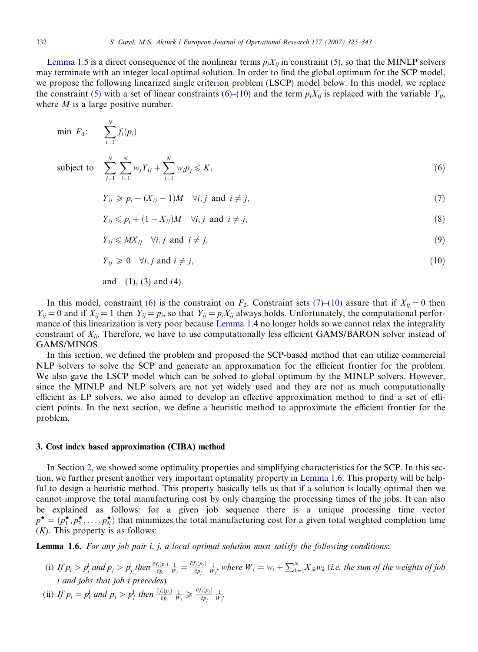<span id="page-7-0"></span>[Lemma 1.5](#page-6-0) is a direct consequence of the nonlinear terms  $p_iX_{ii}$  in constraint [\(5\)](#page-5-0), so that the MINLP solvers may terminate with an integer local optimal solution. In order to find the global optimum for the SCP model, we propose the following linearized single criterion problem (LSCP) model below. In this model, we replace the constraint [\(5\)](#page-5-0) with a set of linear constraints (6)–(10) and the term  $p_iX_{ij}$  is replaced with the variable  $Y_{ij}$ , where  $M$  is a large positive number.

$$
\begin{aligned}\n\min \ F_1: \quad & \sum_{i=1}^N f_i(p_i) \\
\text{subject to} \quad & \sum_{j=1}^N \sum_{i=1}^N w_j Y_{ij} + \sum_{j=1}^N w_j p_j \leq K, \\
& Y_{ij} \geq p_i + (X_{ij} - 1)M \quad \forall i, j \text{ and } i \neq j,\n\end{aligned}\n\tag{7}
$$

$$
Y_{ij} \leqslant p_i + (1 - X_{ij})M \quad \forall i, j \text{ and } i \neq j,
$$
\n
$$
(8)
$$

$$
Y_{ij} \leqslant M X_{ij} \quad \forall i, j \text{ and } i \neq j,
$$
\n
$$
(9)
$$

$$
Y_{ij} \geq 0 \quad \forall i, j \text{ and } i \neq j,
$$
\n
$$
(10)
$$

and  $(1)$ ,  $(3)$  and  $(4)$ .

In this model, constraint (6) is the constraint on  $F_2$ . Constraint sets (7)–(10) assure that if  $X_{ij} = 0$  then  $Y_{ij} = 0$  and if  $X_{ij} = 1$  then  $Y_{ij} = p_i$ , so that  $Y_{ij} = p_i X_{ij}$  always holds. Unfortunately, the computational performance of this linearization is very poor because [Lemma 1.4](#page-6-0) no longer holds so we cannot relax the integrality constraint of  $X_{ij}$ . Therefore, we have to use computationally less efficient GAMS/BARON solver instead of GAMS/MINOS.

In this section, we defined the problem and proposed the SCP-based method that can utilize commercial NLP solvers to solve the SCP and generate an approximation for the efficient frontier for the problem. We also gave the LSCP model which can be solved to global optimum by the MINLP solvers. However, since the MINLP and NLP solvers are not yet widely used and they are not as much computationally efficient as LP solvers, we also aimed to develop an effective approximation method to find a set of efficient points. In the next section, we define a heuristic method to approximate the efficient frontier for the problem.

## 3. Cost index based approximation (CIBA) method

In Section [2](#page-2-0), we showed some optimality properties and simplifying characteristics for the SCP. In this section, we further present another very important optimality property in Lemma 1.6. This property will be helpful to design a heuristic method. This property basically tells us that if a solution is locally optimal then we cannot improve the total manufacturing cost by only changing the processing times of the jobs. It can also be explained as follows: for a given job sequence there is a unique processing time vector  $p^{\star} = (p_1^{\star}, p_2^{\star}, \dots, p_N^{\star})$  that minimizes the total manufacturing cost for a given total weighted completion time  $(K)$ . This property is as follows:

**Lemma 1.6.** For any job pair i, j, a local optimal solution must satisfy the following conditions:

- (i) If  $p_i > p_i^1$  and  $p_j > p_j^1$  then  $\frac{\partial f_i(p_i)}{\partial p_i} \frac{1}{W_i} = \frac{\partial f_j(p_j)}{\partial p_j} \frac{1}{W_j}$ , where  $W_i = w_i + \sum_{k=1}^N X_{ik}w_k$  (i.e. the sum of the weights of job i and jobs that job i precedes).
- (ii) If  $p_i = p_i^l$  and  $p_j > p_j^l$  then  $\frac{\partial f_i(p_i)}{\partial p_i} \frac{1}{W_i} \geq \frac{\partial f_j(p_j)}{\partial p_j} \frac{1}{W_j}$ .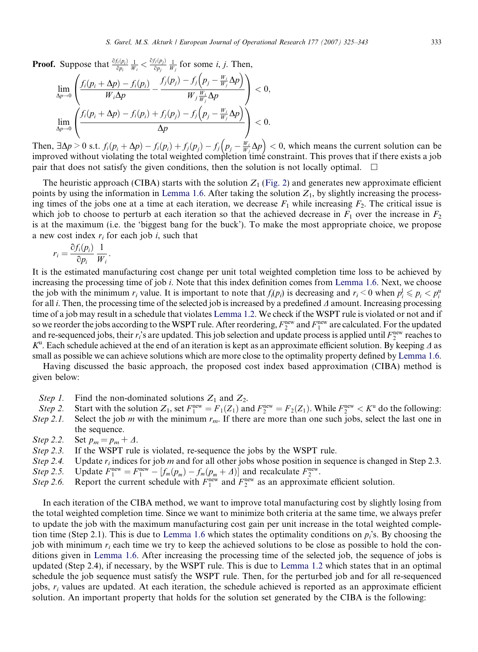**Proof.** Suppose that  $\frac{\partial f_i(p_i)}{\partial p_i} \frac{1}{W_i} < \frac{\partial f_j(p_j)}{\partial p_j}$ ppose that  $\frac{\partial f_i(p_i)}{\partial p_i} \frac{1}{W_i} < \frac{\partial f_j(p_j)}{\partial p_j} \frac{1}{W_j}$  for some *i*, *j*. Then,

$$
\lim_{\Delta p \to 0} \left( \frac{f_i(p_i + \Delta p) - f_i(p_i)}{W_i \Delta p} - \frac{f_j(p_j) - f_j(p_j - \frac{W_i}{W_j} \Delta p)}{W_j \frac{W_i}{W_j} \Delta p} \right) < 0,
$$
  

$$
\lim_{\Delta p \to 0} \left( \frac{f_i(p_i + \Delta p) - f_i(p_i) + f_j(p_j) - f_j(p_j - \frac{W_i}{W_j} \Delta p)}{\Delta p} \right) < 0.
$$

Then,  $\exists \Delta p > 0$  s.t.  $f_i(p_i + \Delta p) - f_i(p_i) + f_j(p_j) - f_j(p_j - \frac{W_i}{W_j}\Delta p) < 0$ , which means the current solution can be improved without violating the total weighted completion time constraint. This proves that if there exists a job pair that does not satisfy the given conditions, then the solution is not locally optimal.

The heuristic approach (CIBA) starts with the solution  $Z_1$  [\(Fig. 2\)](#page-4-0) and generates new approximate efficient points by using the information in [Lemma 1.6.](#page-7-0) After taking the solution  $Z_1$ , by slightly increasing the processing times of the jobs one at a time at each iteration, we decrease  $F_1$  while increasing  $F_2$ . The critical issue is which job to choose to perturb at each iteration so that the achieved decrease in  $F_1$  over the increase in  $F_2$ is at the maximum (i.e. the 'biggest bang for the buck'). To make the most appropriate choice, we propose a new cost index  $r_i$  for each job i, such that

$$
r_i = \frac{\partial f_i(p_i)}{\partial p_i} \frac{1}{W_i}.
$$

It is the estimated manufacturing cost change per unit total weighted completion time loss to be achieved by increasing the processing time of job i. Note that this index definition comes from [Lemma 1.6.](#page-7-0) Next, we choose the job with the minimum  $r_i$  value. It is important to note that  $f_i(p_i)$  is decreasing and  $r_i < 0$  when  $p_i^1 \leq p_i < p_i^0$ for all *i*. Then, the processing time of the selected job is increased by a predefined  $\Delta$  amount. Increasing processing time of a job may result in a schedule that violates [Lemma 1.2.](#page-5-0) We check if the WSPT rule is violated or not and if so we reorder the jobs according to the WSPT rule. After reordering,  $F_2^{\rm new}$  and  $F_1^{\rm new}$  are calculated. For the updated and re-sequenced jobs, their  $r_i$ 's are updated. This job selection and update process is applied until  $F_2^{\text{new}}$  reaches to  $K^u$ . Each schedule achieved at the end of an iteration is kept as an approximate efficient solution. By keeping  $\Delta$  as small as possible we can achieve solutions which are more close to the optimality property defined by [Lemma 1.6](#page-7-0).

Having discussed the basic approach, the proposed cost index based approximation (CIBA) method is given below:

- Step 1. Find the non-dominated solutions  $Z_1$  and  $Z_2$ .
- Step 2. Start with the solution  $Z_1$ , set  $F_1^{\text{new}} = F_1(Z_1)$  and  $F_2^{\text{new}} = F_2(Z_1)$ . While  $F_2^{\text{new}} < K^{\text{u}}$  do the following:
- Step 2.1. Select the job m with the minimum  $r_m$ . If there are more than one such jobs, select the last one in the sequence.
- Step 2.2. Set  $p_m = p_m + \Delta$ .
- Step 2.3. If the WSPT rule is violated, re-sequence the jobs by the WSPT rule.
- Step 2.4. Update  $r_i$  indices for job m and for all other jobs whose position in sequence is changed in Step 2.3.
- Step 2.5. Update  $F_1^{\text{new}} = F_1^{\text{new}} [f_m(p_m) f_m(p_m + \Delta)]$  and recalculate  $F_2^{\text{new}}$ .
- Step 2.6. Report the current schedule with  $F_1^{\text{new}}$  and  $F_2^{\text{new}}$  as an approximate efficient solution.

In each iteration of the CIBA method, we want to improve total manufacturing cost by slightly losing from the total weighted completion time. Since we want to minimize both criteria at the same time, we always prefer to update the job with the maximum manufacturing cost gain per unit increase in the total weighted comple-tion time (Step 2.1). This is due to [Lemma 1.6](#page-7-0) which states the optimality conditions on  $p_i$ 's. By choosing the job with minimum  $r_i$  each time we try to keep the achieved solutions to be close as possible to hold the conditions given in [Lemma 1.6.](#page-7-0) After increasing the processing time of the selected job, the sequence of jobs is updated (Step 2.4), if necessary, by the WSPT rule. This is due to [Lemma 1.2](#page-5-0) which states that in an optimal schedule the job sequence must satisfy the WSPT rule. Then, for the perturbed job and for all re-sequenced jobs,  $r_i$  values are updated. At each iteration, the schedule achieved is reported as an approximate efficient solution. An important property that holds for the solution set generated by the CIBA is the following: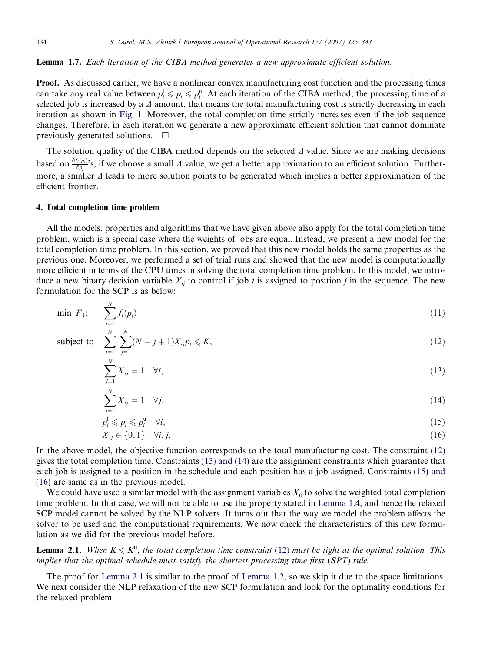#### <span id="page-9-0"></span>Lemma 1.7. Each iteration of the CIBA method generates a new approximate efficient solution.

**Proof.** As discussed earlier, we have a nonlinear convex manufacturing cost function and the processing times can take any real value between  $p_i^l \leqslant p_i \leqslant p_i^u$ . At each iteration of the CIBA method, the processing time of a selected job is increased by a  $\Delta$  amount, that means the total manufacturing cost is strictly decreasing in each iteration as shown in [Fig. 1.](#page-3-0) Moreover, the total completion time strictly increases even if the job sequence changes. Therefore, in each iteration we generate a new approximate efficient solution that cannot dominate previously generated solutions.  $\Box$ 

The solution quality of the CIBA method depends on the selected  $\Delta$  value. Since we are making decisions based on  $\frac{\partial f_i(p_i)}{\partial p_i}$ 's, if we choose a small  $\Delta$  value, we get a better approximation to an efficient solution. Furthermore, a smaller  $\Delta$  leads to more solution points to be generated which implies a better approximation of the efficient frontier.

#### 4. Total completion time problem

All the models, properties and algorithms that we have given above also apply for the total completion time problem, which is a special case where the weights of jobs are equal. Instead, we present a new model for the total completion time problem. In this section, we proved that this new model holds the same properties as the previous one. Moreover, we performed a set of trial runs and showed that the new model is computationally more efficient in terms of the CPU times in solving the total completion time problem. In this model, we introduce a new binary decision variable  $X_{ii}$  to control if job i is assigned to position j in the sequence. The new formulation for the SCP is as below:

$$
\min \ F_1: \qquad \sum_{i=1}^N f_i(p_i) \tag{11}
$$

subject to 
$$
\sum_{i=1}^{N} \sum_{j=1}^{N} (N-j+1)X_{ij}p_i \leq K,
$$
 (12)

$$
\sum_{j=1}^{N} X_{ij} = 1 \quad \forall i,
$$
\n<sup>(13)</sup>

$$
\sum_{i=1}^{N} X_{ij} = 1 \quad \forall j,
$$
\n<sup>(14)</sup>

$$
p_i^1 \leqslant p_i \leqslant p_i^u \quad \forall i,\tag{15}
$$

$$
X_{ij} \in \{0, 1\} \quad \forall i, j. \tag{16}
$$

In the above model, the objective function corresponds to the total manufacturing cost. The constraint (12) gives the total completion time. Constraints (13) and (14) are the assignment constraints which guarantee that each job is assigned to a position in the schedule and each position has a job assigned. Constraints (15) and (16) are same as in the previous model.

We could have used a similar model with the assignment variables  $X_{ij}$  to solve the weighted total completion time problem. In that case, we will not be able to use the property stated in [Lemma 1.4](#page-6-0), and hence the relaxed SCP model cannot be solved by the NLP solvers. It turns out that the way we model the problem affects the solver to be used and the computational requirements. We now check the characteristics of this new formulation as we did for the previous model before.

**Lemma 2.1.** When  $K \leq K^u$ , the total completion time constraint (12) must be tight at the optimal solution. This implies that the optimal schedule must satisfy the shortest processing time first (SPT) rule.

The proof for Lemma 2.1 is similar to the proof of [Lemma 1.2,](#page-5-0) so we skip it due to the space limitations. We next consider the NLP relaxation of the new SCP formulation and look for the optimality conditions for the relaxed problem.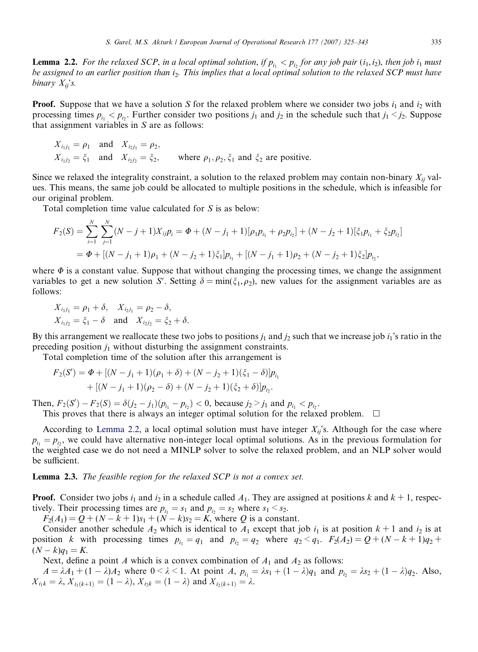**Lemma 2.2.** For the relaxed SCP, in a local optimal solution, if  $p_{i_1} < p_{i_2}$  for any job pair  $(i_1, i_2)$ , then job  $i_1$  must be assigned to an earlier position than  $i<sub>2</sub>$ . This implies that a local optimal solution to the relaxed SCP must have binary  $X_{ii}$ 's.

**Proof.** Suppose that we have a solution S for the relaxed problem where we consider two jobs  $i_1$  and  $i_2$  with processing times  $p_{i_1} < p_{i_2}$ . Further consider two positions  $j_1$  and  $j_2$  in the schedule such that  $j_1 < j_2$ . Suppose that assignment variables in  $S$  are as follows:

$$
X_{i_1j_1} = \rho_1 \quad \text{and} \quad X_{i_2j_1} = \rho_2,
$$
  
\n
$$
X_{i_1j_2} = \xi_1 \quad \text{and} \quad X_{i_2j_2} = \xi_2,
$$
 where  $\rho_1, \rho_2, \xi_1$  and  $\xi_2$  are positive.

Since we relaxed the integrality constraint, a solution to the relaxed problem may contain non-binary  $X_{ii}$  values. This means, the same job could be allocated to multiple positions in the schedule, which is infeasible for our original problem.

Total completion time value calculated for S is as below:

$$
F_2(S) = \sum_{i=1}^{N} \sum_{j=1}^{N} (N - j + 1) X_{ij} p_i = \Phi + (N - j_1 + 1) [\rho_1 p_{i_1} + \rho_2 p_{i_2}] + (N - j_2 + 1) [\xi_1 p_{i_1} + \xi_2 p_{i_2}]
$$
  
=  $\Phi + [(N - j_1 + 1)\rho_1 + (N - j_2 + 1)\xi_1] p_{i_1} + [(N - j_1 + 1)\rho_2 + (N - j_2 + 1)\xi_2] p_{i_2},$ 

where  $\Phi$  is a constant value. Suppose that without changing the processing times, we change the assignment variables to get a new solution S'. Setting  $\delta = \min(\xi_1,\rho_2)$ , new values for the assignment variables are as follows:

$$
X_{i_1j_1} = \rho_1 + \delta
$$
,  $X_{i_2j_1} = \rho_2 - \delta$ ,  
\n $X_{i_1j_2} = \xi_1 - \delta$  and  $X_{i_2j_2} = \xi_2 + \delta$ .

By this arrangement we reallocate these two jobs to positions  $j_1$  and  $j_2$  such that we increase job  $i_1$ 's ratio in the preceding position  $j_1$  without disturbing the assignment constraints.

Total completion time of the solution after this arrangement is

$$
F_2(S') = \Phi + [(N - j_1 + 1)(\rho_1 + \delta) + (N - j_2 + 1)(\xi_1 - \delta)]p_{i_1} + [(N - j_1 + 1)(\rho_2 - \delta) + (N - j_2 + 1)(\xi_2 + \delta)]p_{i_2}.
$$

Then,  $F_2(S') - F_2(S) = \delta(j_2 - j_1)(p_{i_1} - p_{i_2}) < 0$ , because  $j_2 > j_1$  and  $p_{i_1} < p_{i_2}$ .

This proves that there is always an integer optimal solution for the relaxed problem.  $\Box$ 

According to Lemma 2.2, a local optimal solution must have integer  $X_{ij}$ 's. Although for the case where  $p_{i_1} = p_{i_2}$ , we could have alternative non-integer local optimal solutions. As in the previous formulation for the weighted case we do not need a MINLP solver to solve the relaxed problem, and an NLP solver would be sufficient.

Lemma 2.3. The feasible region for the relaxed SCP is not a convex set.

**Proof.** Consider two jobs  $i_1$  and  $i_2$  in a schedule called  $A_1$ . They are assigned at positions k and  $k + 1$ , respectively. Their processing times are  $p_{i_1} = s_1$  and  $p_{i_2} = s_2$  where  $s_1 \leq s_2$ .

 $F_2(A_1) = Q + (N - k + 1)s_1 + (N - k)s_2 = K$ , where Q is a constant.

Consider another schedule  $A_2$  which is identical to  $A_1$  except that job  $i_1$  is at position  $k + 1$  and  $i_2$  is at position k with processing times  $p_{i_1} = q_1$  and  $p_{i_2} = q_2$  where  $q_2 < q_1$ .  $F_2(A_2) = Q + (N - k + 1)q_2 +$  $(N - k)q_1 = K.$ 

Next, define a point A which is a convex combination of  $A_1$  and  $A_2$  as follows:

 $A = \lambda A_1 + (1 - \lambda)A_2$  where  $0 \le \lambda \le 1$ . At point A,  $p_{i_1} = \lambda s_1 + (1 - \lambda)q_1$  and  $p_{i_2} = \lambda s_2 + (1 - \lambda)q_2$ . Also,  $X_{i_1k} = \lambda, X_{i_1(k+1)} = (1 - \lambda), X_{i_2k} = (1 - \lambda)$  and  $X_{i_2(k+1)} = \lambda$ .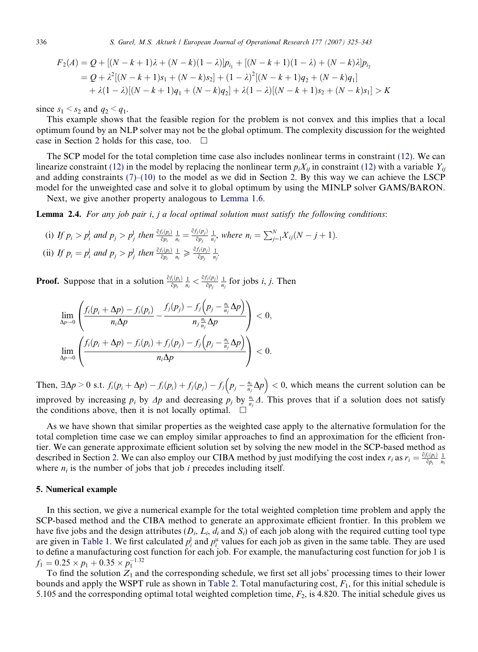<span id="page-11-0"></span>
$$
F_2(A) = Q + [(N - k + 1)\lambda + (N - k)(1 - \lambda)]p_{i_1} + [(N - k + 1)(1 - \lambda) + (N - k)\lambda]p_{i_2}
$$
  
=  $Q + \lambda^2[(N - k + 1)s_1 + (N - k)s_2] + (1 - \lambda)^2[(N - k + 1)q_2 + (N - k)q_1] + \lambda(1 - \lambda)[(N - k + 1)q_1 + (N - k)q_2] + \lambda(1 - \lambda)[(N - k + 1)s_2 + (N - k)s_1] > K$ 

since  $s_1 < s_2$  and  $q_2 < q_1$ .

This example shows that the feasible region for the problem is not convex and this implies that a local optimum found by an NLP solver may not be the global optimum. The complexity discussion for the weighted case in Section [2](#page-2-0) holds for this case, too.  $\Box$ 

The SCP model for the total completion time case also includes nonlinear terms in constraint (12). We can linearize constraint (12) in the model by replacing the nonlinear term  $p_i X_{ij}$  in constraint (12) with a variable  $Y_{ij}$ and adding constraints  $(7)$ – $(10)$  to the model as we did in Section [2.](#page-2-0) By this way we can achieve the LSCP model for the unweighted case and solve it to global optimum by using the MINLP solver GAMS/BARON.

Next, we give another property analogous to [Lemma 1.6](#page-7-0).

**Lemma 2.4.** For any job pair i, j a local optimal solution must satisfy the following conditions:

(i) If 
$$
p_i > p_i^1
$$
 and  $p_j > p_j^1$  then  $\frac{\partial f_i(p_i)}{\partial p_i} \frac{1}{n_i} = \frac{\partial f_j(p_j)}{\partial p_j} \frac{1}{n_j}$ , where  $n_i = \sum_{j=1}^N X_{ij}(N - j + 1)$ .  
\n(ii) If  $p_i = p_i^1$  and  $p_j > p_j^1$  then  $\frac{\partial f_i(p_i)}{\partial p_i} \frac{1}{n_i} \ge \frac{\partial f_j(p_j)}{\partial p_j} \frac{1}{n_j}$ .

**Proof.** Suppose that in a solution  $\frac{\partial f_i(p_i)}{\partial p_i} \frac{1}{n_i} < \frac{\partial f_j(p_j)}{\partial p_j}$  $\frac{f_j(p_j)}{\delta p_j} \frac{1}{n_j}$  for jobs *i*, *j*. Then

$$
\lim_{\Delta p \to 0} \left( \frac{f_i(p_i + \Delta p) - f_i(p_i)}{n_i \Delta p} - \frac{f_j(p_j) - f_j(p_j - \frac{n_i}{n_j} \Delta p)}{n_j \frac{n_i}{n_j} \Delta p} \right) < 0,
$$
  

$$
\lim_{\Delta p \to 0} \left( \frac{f_i(p_i + \Delta p) - f_i(p_i) + f_j(p_j) - f_j(p_j - \frac{n_i}{n_j} \Delta p)}{n_i \Delta p} \right) < 0.
$$

Then,  $\exists \Delta p \ge 0$  s.t.  $f_i(p_i + \Delta p) - f_i(p_i) + f_j(p_j) - f_j(p_j - \frac{n_i}{n_j}\Delta p) < 0$ , which means the current solution can be improved by increasing  $p_i$  by  $\Delta p$  and decreasing  $p_j$  by  $\frac{n_i}{n_j}\Delta$ . This proves that if a solution does not satisfy the conditions above, then it is not locally optimal.  $\Box$ 

As we have shown that similar properties as the weighted case apply to the alternative formulation for the total completion time case we can employ similar approaches to find an approximation for the efficient frontier. We can generate approximate efficient solution set by solving the new model in the SCP-based method as described in Section [2.](#page-2-0) We can also employ our CIBA method by just modifying the cost index  $r_i$  as  $r_i = \frac{\partial f_i(p_i)}{\partial p_i} \frac{1}{n_i}$ where  $n_i$  is the number of jobs that job *i* precedes including itself.

#### 5. Numerical example

In this section, we give a numerical example for the total weighted completion time problem and apply the SCP-based method and the CIBA method to generate an approximate efficient frontier. In this problem we have five jobs and the design attributes  $(D_i, L_i, d_i \text{ and } S_i)$  of each job along with the required cutting tool type are given in [Table 1.](#page-12-0) We first calculated  $p_i^l$  and  $p_i^u$  values for each job as given in the same table. They are used to define a manufacturing cost function for each job. For example, the manufacturing cost function for job 1 is  $f_1 = 0.25 \times p_1 + 0.35 \times p_1^{-1.32}$ 

To find the solution  $Z_1$  and the corresponding schedule, we first set all jobs' processing times to their lower bounds and apply the WSPT rule as shown in [Table 2.](#page-12-0) Total manufacturing cost,  $F_1$ , for this initial schedule is 5.105 and the corresponding optimal total weighted completion time,  $F_2$ , is 4.820. The initial schedule gives us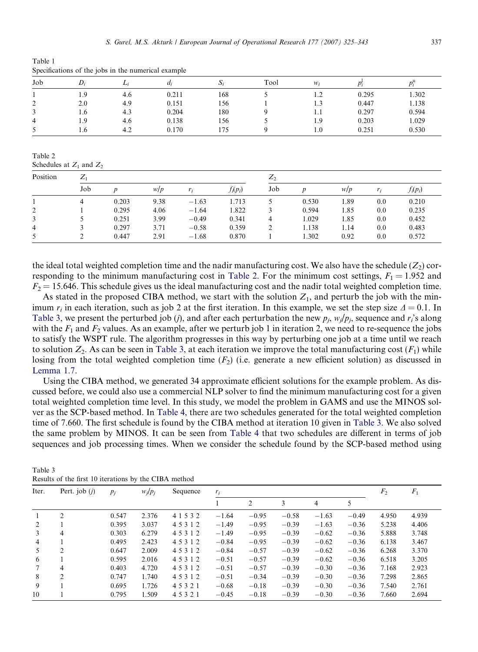<span id="page-12-0"></span>Table 1 Specifications of the jobs in the numerical example

| Job                |     | Li  | $\mu$ | زد. | Tool | $W_i$ |       |       |
|--------------------|-----|-----|-------|-----|------|-------|-------|-------|
|                    | 1.9 | 4.6 | 0.211 | 168 |      |       | 0.295 | 1.302 |
| ◠<br>∼             | 2.0 | 4.9 | 0.151 | 156 |      | 1.3   | 0.447 | 1.138 |
| $\rightarrow$<br>Ć | 1.6 | 4.3 | 0.204 | 180 |      | 1.1   | 0.297 | 0.594 |
| 4                  | 1.9 | 4.6 | 0.138 | 156 |      | 1.9   | 0.203 | 1.029 |
|                    | 1.0 | 4.2 | 0.170 | 175 |      | 1.0   | 0.251 | 0.530 |

Table 2

| Schedules at $Z_1$ and $Z_2$ |
|------------------------------|
|                              |

| Position | $Z_{1}$ |       |      |         |            | $Z_2$ |                  |      |     |            |
|----------|---------|-------|------|---------|------------|-------|------------------|------|-----|------------|
|          | Job     | n     | W/p  | r:      | $f_i(p_i)$ | Job   | $\boldsymbol{D}$ | W/D  | r:  | $f_i(p_i)$ |
|          |         | 0.203 | 9.38 | $-1.63$ | 1.713      |       | 0.530            | 1.89 | 0.0 | 0.210      |
|          |         | 0.295 | 4.06 | $-1.64$ | 1.822      |       | 0.594            | 1.85 | 0.0 | 0.235      |
| 3        |         | 0.251 | 3.99 | $-0.49$ | 0.341      | 4     | 1.029            | 1.85 | 0.0 | 0.452      |
| 4        |         | 0.297 | 3.71 | $-0.58$ | 0.359      |       | 1.138            | 1.14 | 0.0 | 0.483      |
|          |         | 0.447 | 2.91 | $-1.68$ | 0.870      |       | 1.302            | 0.92 | 0.0 | 0.572      |

the ideal total weighted completion time and the nadir manufacturing cost. We also have the schedule  $(Z_2)$  corresponding to the minimum manufacturing cost in Table 2. For the minimum cost settings,  $F_1 = 1.952$  and  $F_2 = 15.646$ . This schedule gives us the ideal manufacturing cost and the nadir total weighted completion time.

As stated in the proposed CIBA method, we start with the solution  $Z_1$ , and perturb the job with the minimum  $r_i$  in each iteration, such as job 2 at the first iteration. In this example, we set the step size  $\Delta = 0.1$ . In Table 3, we present the perturbed job (j), and after each perturbation the new  $p_i$ ,  $w_j/p_i$ , sequence and  $r_i$ 's along with the  $F_1$  and  $F_2$  values. As an example, after we perturb job 1 in iteration 2, we need to re-sequence the jobs to satisfy the WSPT rule. The algorithm progresses in this way by perturbing one job at a time until we reach to solution  $Z_2$ . As can be seen in Table 3, at each iteration we improve the total manufacturing cost  $(F_1)$  while losing from the total weighted completion time  $(F_2)$  (i.e. generate a new efficient solution) as discussed in [Lemma 1.7](#page-9-0).

Using the CIBA method, we generated 34 approximate efficient solutions for the example problem. As discussed before, we could also use a commercial NLP solver to find the minimum manufacturing cost for a given total weighted completion time level. In this study, we model the problem in GAMS and use the MINOS solver as the SCP-based method. In [Table 4,](#page-13-0) there are two schedules generated for the total weighted completion time of 7.660. The first schedule is found by the CIBA method at iteration 10 given in Table 3. We also solved the same problem by MINOS. It can be seen from [Table 4](#page-13-0) that two schedules are different in terms of job sequences and job processing times. When we consider the schedule found by the SCP-based method using

|                |                 |       |           | $\frac{1}{11100}$ . The restaurance of the crisis interested |         |         |         |                |         |       |       |  |  |
|----------------|-----------------|-------|-----------|--------------------------------------------------------------|---------|---------|---------|----------------|---------|-------|-------|--|--|
| Iter.          | Pert. job $(i)$ | $p_i$ | $w_i/p_i$ | Sequence                                                     | $r_i$   |         |         | F <sub>2</sub> | $F_1$   |       |       |  |  |
|                |                 |       |           |                                                              |         | 2       | 3       | 4              |         |       |       |  |  |
|                | $\mathfrak{D}$  | 0.547 | 2.376     | 4 1 5 3 2                                                    | $-1.64$ | $-0.95$ | $-0.58$ | $-1.63$        | $-0.49$ | 4.950 | 4.939 |  |  |
| $\mathcal{L}$  |                 | 0.395 | 3.037     | 45312                                                        | $-1.49$ | $-0.95$ | $-0.39$ | $-1.63$        | $-0.36$ | 5.238 | 4.406 |  |  |
| $\mathcal{E}$  | 4               | 0.303 | 6.279     | 45312                                                        | $-1.49$ | $-0.95$ | $-0.39$ | $-0.62$        | $-0.36$ | 5.888 | 3.748 |  |  |
| $\overline{4}$ |                 | 0.495 | 2.423     | 45312                                                        | $-0.84$ | $-0.95$ | $-0.39$ | $-0.62$        | $-0.36$ | 6.138 | 3.467 |  |  |
| 5              | 2               | 0.647 | 2.009     | 45312                                                        | $-0.84$ | $-0.57$ | $-0.39$ | $-0.62$        | $-0.36$ | 6.268 | 3.370 |  |  |
| 6              |                 | 0.595 | 2.016     | 45312                                                        | $-0.51$ | $-0.57$ | $-0.39$ | $-0.62$        | $-0.36$ | 6.518 | 3.205 |  |  |
| 7              | 4               | 0.403 | 4.720     | 45312                                                        | $-0.51$ | $-0.57$ | $-0.39$ | $-0.30$        | $-0.36$ | 7.168 | 2.923 |  |  |
| 8              | $\mathfrak{D}$  | 0.747 | 1.740     | 45312                                                        | $-0.51$ | $-0.34$ | $-0.39$ | $-0.30$        | $-0.36$ | 7.298 | 2.865 |  |  |
| 9              |                 | 0.695 | 1.726     | 45321                                                        | $-0.68$ | $-0.18$ | $-0.39$ | $-0.30$        | $-0.36$ | 7.540 | 2.761 |  |  |
| 10             |                 | 0.795 | 1.509     | 45321                                                        | $-0.45$ | $-0.18$ | $-0.39$ | $-0.30$        | $-0.36$ | 7.660 | 2.694 |  |  |
|                |                 |       |           |                                                              |         |         |         |                |         |       |       |  |  |

Table 3 Results of the first 10 iterations by the CIBA method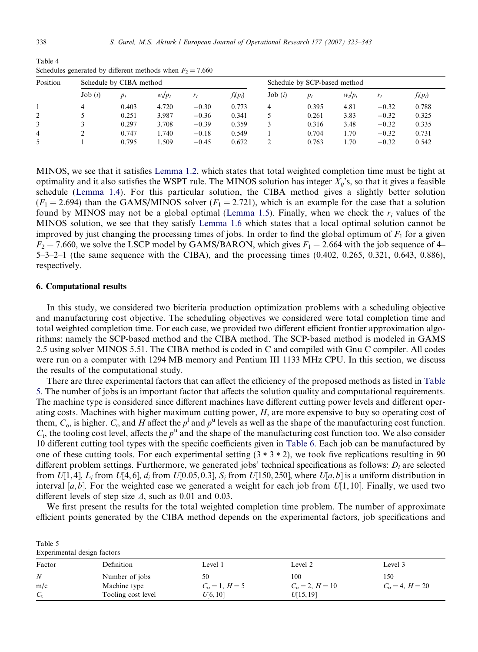| Position |        | Schedule by CIBA method |           |         |            |        | Schedule by SCP-based method |           |         |            |  |
|----------|--------|-------------------------|-----------|---------|------------|--------|------------------------------|-----------|---------|------------|--|
|          | Job(i) | $p_i$                   | $w_i/p_i$ | r:      | $f_i(p_i)$ | Job(i) | $p_i$                        | $W_i/p_i$ |         | $f_i(p_i)$ |  |
|          | 4      | 0.403                   | 4.720     | $-0.30$ | 0.773      |        | 0.395                        | 4.81      | $-0.32$ | 0.788      |  |
| 2        |        | 0.251                   | 3.987     | $-0.36$ | 0.341      |        | 0.261                        | 3.83      | $-0.32$ | 0.325      |  |
|          |        | 0.297                   | 3.708     | $-0.39$ | 0.359      |        | 0.316                        | 3.48      | $-0.32$ | 0.335      |  |
| 4        |        | 0.747                   | .740      | $-0.18$ | 0.549      |        | 0.704                        | l.70      | $-0.32$ | 0.731      |  |
|          |        | 0.795                   | .509      | $-0.45$ | 0.672      |        | 0.763                        | 1.70      | $-0.32$ | 0.542      |  |

<span id="page-13-0"></span>Table 4 Schedules generated by different methods when  $F_2 = 7.660$ 

MINOS, we see that it satisfies [Lemma 1.2,](#page-5-0) which states that total weighted completion time must be tight at optimality and it also satisfies the WSPT rule. The MINOS solution has integer  $X_{ii}$ 's, so that it gives a feasible schedule [\(Lemma 1.4\)](#page-6-0). For this particular solution, the CIBA method gives a slightly better solution  $(F_1 = 2.694)$  than the GAMS/MINOS solver  $(F_1 = 2.721)$ , which is an example for the case that a solution found by MINOS may not be a global optimal ([Lemma 1.5](#page-6-0)). Finally, when we check the  $r_i$  values of the MINOS solution, we see that they satisfy [Lemma 1.6](#page-7-0) which states that a local optimal solution cannot be improved by just changing the processing times of jobs. In order to find the global optimum of  $F_1$  for a given  $F_2 = 7.660$ , we solve the LSCP model by GAMS/BARON, which gives  $F_1 = 2.664$  with the job sequence of 4– 5–3–2–1 (the same sequence with the CIBA), and the processing times (0.402, 0.265, 0.321, 0.643, 0.886), respectively.

#### 6. Computational results

Table 5

In this study, we considered two bicriteria production optimization problems with a scheduling objective and manufacturing cost objective. The scheduling objectives we considered were total completion time and total weighted completion time. For each case, we provided two different efficient frontier approximation algorithms: namely the SCP-based method and the CIBA method. The SCP-based method is modeled in GAMS 2.5 using solver MINOS 5.51. The CIBA method is coded in C and compiled with Gnu C compiler. All codes were run on a computer with 1294 MB memory and Pentium III 1133 MHz CPU. In this section, we discuss the results of the computational study.

There are three experimental factors that can affect the efficiency of the proposed methods as listed in Table 5. The number of jobs is an important factor that affects the solution quality and computational requirements. The machine type is considered since different machines have different cutting power levels and different operating costs. Machines with higher maximum cutting power, H, are more expensive to buy so operating cost of them,  $C_0$ , is higher.  $C_0$  and H affect the  $p^1$  and  $p^u$  levels as well as the shape of the manufacturing cost function.  $C_t$ , the tooling cost level, affects the  $p^u$  and the shape of the manufacturing cost function too. We also consider 10 different cutting tool types with the specific coefficients given in [Table 6.](#page-14-0) Each job can be manufactured by one of these cutting tools. For each experimental setting  $(3 * 3 * 2)$ , we took five replications resulting in 90 different problem settings. Furthermore, we generated jobs' technical specifications as follows:  $D_i$  are selected from  $U[1,4]$ ,  $L_i$  from  $U[4,6]$ ,  $d_i$  from  $U[0.05, 0.3]$ ,  $S_i$  from  $U[150, 250]$ , where  $U[a, b]$  is a uniform distribution in interval [a,b]. For the weighted case we generated a weight for each job from  $U[1, 10]$ . Finally, we used two different levels of step size  $\Delta$ , such as 0.01 and 0.03.

We first present the results for the total weighted completion time problem. The number of approximate efficient points generated by the CIBA method depends on the experimental factors, job specifications and

| Experimental design factors |                    |                  |                     |                     |  |  |  |  |
|-----------------------------|--------------------|------------------|---------------------|---------------------|--|--|--|--|
| Factor                      | Definition         | Level 1          | Level 2             | Level 3             |  |  |  |  |
| $\boldsymbol{N}$            | Number of jobs     | 50               | 100                 | 150                 |  |  |  |  |
| m/c                         | Machine type       | $C_0 = 1, H = 5$ | $C_{0} = 2, H = 10$ | $C_{0} = 4, H = 20$ |  |  |  |  |
| $C_{t}$                     | Tooling cost level | U[6, 10]         | U[15, 19]           |                     |  |  |  |  |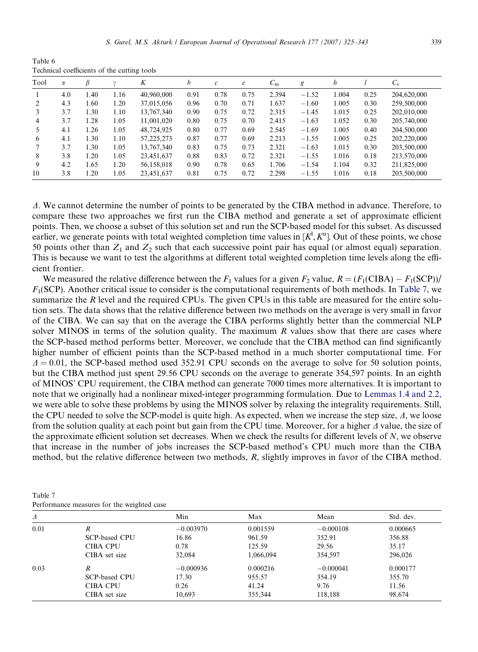<span id="page-14-0"></span>

| Tool | α   |      |      | K          | b    | $\mathcal{C}$ | $\epsilon$ | $C_{\rm m}$ | g       | h     |      | $C_{\rm s}$ |
|------|-----|------|------|------------|------|---------------|------------|-------------|---------|-------|------|-------------|
|      | 4.0 | 1.40 | 1.16 | 40,960,000 | 0.91 | 0.78          | 0.75       | 2.394       | $-1.52$ | 1.004 | 0.25 | 204,620,000 |
|      | 4.3 | 1.60 | 1.20 | 37,015,056 | 0.96 | 0.70          | 0.71       | 1.637       | $-1.60$ | 1.005 | 0.30 | 259,500,000 |
|      | 3.7 | 1.30 | 1.10 | 13.767.340 | 0.90 | 0.75          | 0.72       | 2.315       | $-1.45$ | 1.015 | 0.25 | 202,010,000 |
| 4    | 3.7 | 1.28 | 1.05 | 11.001.020 | 0.80 | 0.75          | 0.70       | 2.415       | $-1.63$ | 1.052 | 0.30 | 205,740,000 |
|      | 4.1 | 1.26 | 1.05 | 48,724,925 | 0.80 | 0.77          | 0.69       | 2.545       | $-1.69$ | 1.005 | 0.40 | 204,500,000 |
| 6    | 4.1 | 1.30 | 1.10 | 57,225,273 | 0.87 | 0.77          | 0.69       | 2.213       | $-1.55$ | 1.005 | 0.25 | 202,220,000 |
|      | 3.7 | 1.30 | 1.05 | 13.767.340 | 0.83 | 0.75          | 0.73       | 2.321       | $-1.63$ | 1.015 | 0.30 | 203,500,000 |
| 8    | 3.8 | 1.20 | 1.05 | 23,451,637 | 0.88 | 0.83          | 0.72       | 2.321       | $-1.55$ | 1.016 | 0.18 | 213,570,000 |
| 9    | 4.2 | 1.65 | 1.20 | 56.158.018 | 0.90 | 0.78          | 0.65       | 1.706       | $-1.54$ | 1.104 | 0.32 | 211,825,000 |
| 10   | 3.8 | 1.20 | 1.05 | 23,451,637 | 0.81 | 0.75          | 0.72       | 2.298       | $-1.55$ | 1.016 | 0.18 | 203,500,000 |

D. We cannot determine the number of points to be generated by the CIBA method in advance. Therefore, to compare these two approaches we first run the CIBA method and generate a set of approximate efficient points. Then, we choose a subset of this solution set and run the SCP-based model for this subset. As discussed earlier, we generate points with total weighted completion time values in  $[K^1, K^u]$ . Out of these points, we chose 50 points other than  $Z_1$  and  $Z_2$  such that each successive point pair has equal (or almost equal) separation. This is because we want to test the algorithms at different total weighted completion time levels along the efficient frontier.

We measured the relative difference between the  $F_1$  values for a given  $F_2$  value,  $R = (F_1(CIBA) - F_1(SCP))/$  $F_1$ (SCP). Another critical issue to consider is the computational requirements of both methods. In Table 7, we summarize the R level and the required CPUs. The given CPUs in this table are measured for the entire solution sets. The data shows that the relative difference between two methods on the average is very small in favor of the CIBA. We can say that on the average the CIBA performs slightly better than the commercial NLP solver MINOS in terms of the solution quality. The maximum  $R$  values show that there are cases where the SCP-based method performs better. Moreover, we conclude that the CIBA method can find significantly higher number of efficient points than the SCP-based method in a much shorter computational time. For  $\Delta = 0.01$ , the SCP-based method used 352.91 CPU seconds on the average to solve for 50 solution points, but the CIBA method just spent 29.56 CPU seconds on the average to generate 354,597 points. In an eighth of MINOS' CPU requirement, the CIBA method can generate 7000 times more alternatives. It is important to note that we originally had a nonlinear mixed-integer programming formulation. Due to [Lemmas 1.4 and 2.2](#page-6-0), we were able to solve these problems by using the MINOS solver by relaxing the integrality requirements. Still, the CPU needed to solve the SCP-model is quite high. As expected, when we increase the step size,  $\Delta$ , we loose from the solution quality at each point but gain from the CPU time. Moreover, for a higher  $\Lambda$  value, the size of the approximate efficient solution set decreases. When we check the results for different levels of  $N$ , we observe that increase in the number of jobs increases the SCP-based method's CPU much more than the CIBA method, but the relative difference between two methods, R, slightly improves in favor of the CIBA method.

Table 7 Performance measures for the weighted case

| Δ    |                      | Min         | Max       | Mean        | Std. dev. |
|------|----------------------|-------------|-----------|-------------|-----------|
| 0.01 | R                    | $-0.003970$ | 0.001559  | $-0.000108$ | 0.000665  |
|      | <b>SCP-based CPU</b> | 16.86       | 961.59    | 352.91      | 356.88    |
|      | <b>CIBA CPU</b>      | 0.78        | 125.59    | 29.56       | 35.17     |
|      | CIBA set size        | 32,084      | 1,066,094 | 354,597     | 296,026   |
| 0.03 | $\boldsymbol{R}$     | $-0.000936$ | 0.000216  | $-0.000041$ | 0.000177  |
|      | <b>SCP-based CPU</b> | 17.30       | 955.57    | 354.19      | 355.70    |
|      | <b>CIBA CPU</b>      | 0.26        | 41.24     | 9.76        | 11.56     |
|      | CIBA set size        | 10,693      | 355,344   | 118,188     | 98.674    |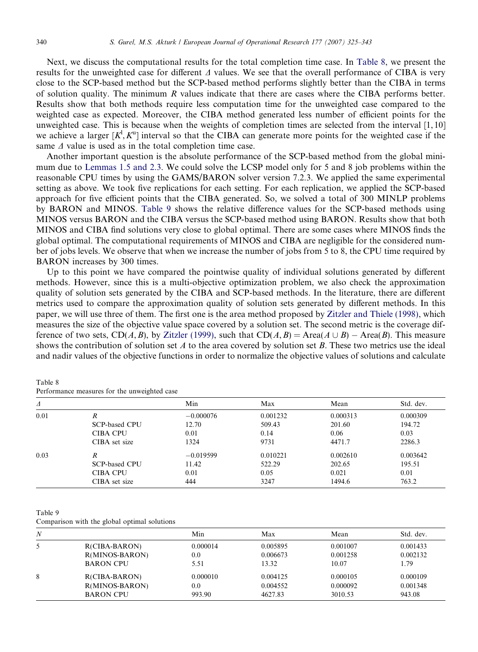Next, we discuss the computational results for the total completion time case. In Table 8, we present the results for the unweighted case for different  $\Delta$  values. We see that the overall performance of CIBA is very close to the SCP-based method but the SCP-based method performs slightly better than the CIBA in terms of solution quality. The minimum R values indicate that there are cases where the CIBA performs better. Results show that both methods require less computation time for the unweighted case compared to the weighted case as expected. Moreover, the CIBA method generated less number of efficient points for the unweighted case. This is because when the weights of completion times are selected from the interval [1, 10] we achieve a larger  $[K^1, K^u]$  interval so that the CIBA can generate more points for the weighted case if the same  $\Delta$  value is used as in the total completion time case.

Another important question is the absolute performance of the SCP-based method from the global minimum due to [Lemmas 1.5 and 2.3.](#page-6-0) We could solve the LCSP model only for 5 and 8 job problems within the reasonable CPU times by using the GAMS/BARON solver version 7.2.3. We applied the same experimental setting as above. We took five replications for each setting. For each replication, we applied the SCP-based approach for five efficient points that the CIBA generated. So, we solved a total of 300 MINLP problems by BARON and MINOS. Table 9 shows the relative difference values for the SCP-based methods using MINOS versus BARON and the CIBA versus the SCP-based method using BARON. Results show that both MINOS and CIBA find solutions very close to global optimal. There are some cases where MINOS finds the global optimal. The computational requirements of MINOS and CIBA are negligible for the considered number of jobs levels. We observe that when we increase the number of jobs from 5 to 8, the CPU time required by BARON increases by 300 times.

Up to this point we have compared the pointwise quality of individual solutions generated by different methods. However, since this is a multi-objective optimization problem, we also check the approximation quality of solution sets generated by the CIBA and SCP-based methods. In the literature, there are different metrics used to compare the approximation quality of solution sets generated by different methods. In this paper, we will use three of them. The first one is the area method proposed by [Zitzler and Thiele \(1998\),](#page-18-0) which measures the size of the objective value space covered by a solution set. The second metric is the coverage dif-ference of two sets, CD(A,B), by [Zitzler \(1999\),](#page-18-0) such that  $CD(A, B) = \text{Area}(A \cup B) - \text{Area}(B)$ . This measure shows the contribution of solution set A to the area covered by solution set B. These two metrics use the ideal and nadir values of the objective functions in order to normalize the objective values of solutions and calculate

| Table 8                                      |  |  |  |
|----------------------------------------------|--|--|--|
| Performance measures for the unweighted case |  |  |  |

| Δ    |                      | Min         | Max      | Mean     | Std. dev. |
|------|----------------------|-------------|----------|----------|-----------|
| 0.01 | R                    | $-0.000076$ | 0.001232 | 0.000313 | 0.000309  |
|      | SCP-based CPU        | 12.70       | 509.43   | 201.60   | 194.72    |
|      | <b>CIBA CPU</b>      | 0.01        | 0.14     | 0.06     | 0.03      |
|      | CIBA set size        | 1324        | 9731     | 4471.7   | 2286.3    |
| 0.03 | R                    | $-0.019599$ | 0.010221 | 0.002610 | 0.003642  |
|      | <b>SCP-based CPU</b> | 11.42       | 522.29   | 202.65   | 195.51    |
|      | <b>CIBA CPU</b>      | 0.01        | 0.05     | 0.021    | 0.01      |
|      | CIBA set size        | 444         | 3247     | 1494.6   | 763.2     |

Table 9

Comparison with the global optimal solutions

| N |                       | Min      | Max      | Mean     | Std. dev. |
|---|-----------------------|----------|----------|----------|-----------|
| 5 | <b>R(CIBA-BARON)</b>  | 0.000014 | 0.005895 | 0.001007 | 0.001433  |
|   | <b>R(MINOS-BARON)</b> | 0.0      | 0.006673 | 0.001258 | 0.002132  |
|   | <b>BARON CPU</b>      | 5.51     | 13.32    | 10.07    | 1.79      |
|   | <b>R(CIBA-BARON)</b>  | 0.000010 | 0.004125 | 0.000105 | 0.000109  |
|   | <b>R(MINOS-BARON)</b> | 0.0      | 0.004552 | 0.000092 | 0.001348  |
|   | <b>BARON CPU</b>      | 993.90   | 4627.83  | 3010.53  | 943.08    |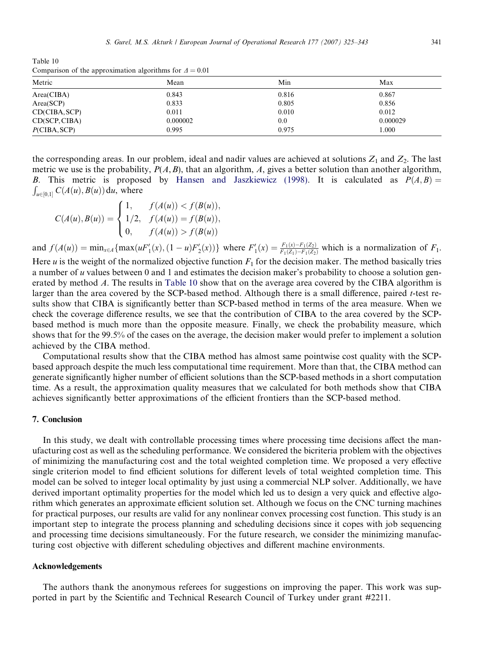Table 10 Comparison of the approximation algorithms for  $\Delta = 0.01$ 

| Metric        | Mean     | Min   | Max      |
|---------------|----------|-------|----------|
| Area(CIBA)    | 0.843    | 0.816 | 0.867    |
| Area(SCP)     | 0.833    | 0.805 | 0.856    |
| CD(CIBA,SCP)  | 0.011    | 0.010 | 0.012    |
| CD(SCP, CIBA) | 0.000002 | 0.0   | 0.000029 |
| P(CIBA,SCP)   | 0.995    | 0.975 | 000.1    |

the corresponding areas. In our problem, ideal and nadir values are achieved at solutions  $Z_1$  and  $Z_2$ . The last metric we use is the probability,  $P(A, B)$ , that an algorithm, A, gives a better solution than another algorithm, B. This metric is proposed by [Hansen and Jaszkiewicz \(1998\)](#page-17-0). It is calculated as  $P(A, B) =$  $\int_{u\in[0,1]} C(A(u),B(u)) du$ , where

$$
C(A(u), B(u)) = \begin{cases} 1, & f(A(u)) < f(B(u)), \\ 1/2, & f(A(u)) = f(B(u)), \\ 0, & f(A(u)) > f(B(u)) \end{cases}
$$

and  $f(A(u)) = \min_{x \in A} \{ \max(uF'_1(x), (1-u)F'_2(x)) \}$  where  $F'_1(x) = \frac{F_1(x) - F_1(Z_2)}{F_1(Z_1) - F_1(Z_2)}$  $\frac{F_1(x)-F_1(Z_2)}{F_1(Z_1)-F_1(Z_2)}$  which is a normalization of  $F_1$ . Here u is the weight of the normalized objective function  $F_1$  for the decision maker. The method basically tries a number of u values between 0 and 1 and estimates the decision maker's probability to choose a solution generated by method A. The results in Table 10 show that on the average area covered by the CIBA algorithm is larger than the area covered by the SCP-based method. Although there is a small difference, paired t-test results show that CIBA is significantly better than SCP-based method in terms of the area measure. When we check the coverage difference results, we see that the contribution of CIBA to the area covered by the SCPbased method is much more than the opposite measure. Finally, we check the probability measure, which shows that for the 99.5% of the cases on the average, the decision maker would prefer to implement a solution achieved by the CIBA method.

Computational results show that the CIBA method has almost same pointwise cost quality with the SCPbased approach despite the much less computational time requirement. More than that, the CIBA method can generate significantly higher number of efficient solutions than the SCP-based methods in a short computation time. As a result, the approximation quality measures that we calculated for both methods show that CIBA achieves significantly better approximations of the efficient frontiers than the SCP-based method.

## 7. Conclusion

In this study, we dealt with controllable processing times where processing time decisions affect the manufacturing cost as well as the scheduling performance. We considered the bicriteria problem with the objectives of minimizing the manufacturing cost and the total weighted completion time. We proposed a very effective single criterion model to find efficient solutions for different levels of total weighted completion time. This model can be solved to integer local optimality by just using a commercial NLP solver. Additionally, we have derived important optimality properties for the model which led us to design a very quick and effective algorithm which generates an approximate efficient solution set. Although we focus on the CNC turning machines for practical purposes, our results are valid for any nonlinear convex processing cost function. This study is an important step to integrate the process planning and scheduling decisions since it copes with job sequencing and processing time decisions simultaneously. For the future research, we consider the minimizing manufacturing cost objective with different scheduling objectives and different machine environments.

## Acknowledgements

The authors thank the anonymous referees for suggestions on improving the paper. This work was supported in part by the Scientific and Technical Research Council of Turkey under grant #2211.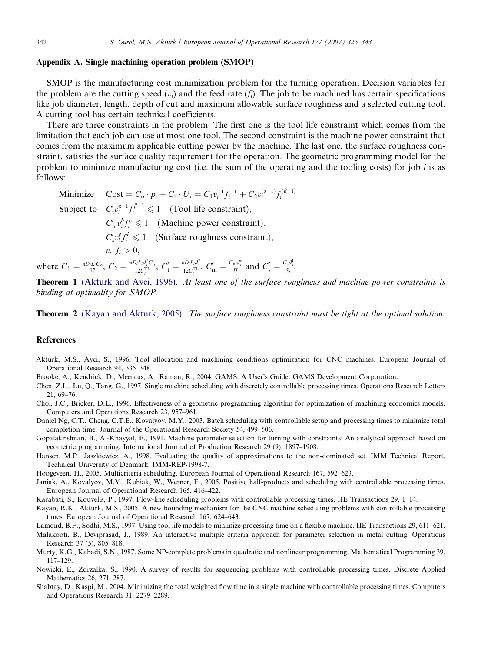#### <span id="page-17-0"></span>Appendix A. Single machining operation problem (SMOP)

SMOP is the manufacturing cost minimization problem for the turning operation. Decision variables for the problem are the cutting speed  $(v_i)$  and the feed rate  $(f_i)$ . The job to be machined has certain specifications like job diameter, length, depth of cut and maximum allowable surface roughness and a selected cutting tool. A cutting tool has certain technical coefficients.

There are three constraints in the problem. The first one is the tool life constraint which comes from the limitation that each job can use at most one tool. The second constraint is the machine power constraint that comes from the maximum applicable cutting power by the machine. The last one, the surface roughness constraint, satisfies the surface quality requirement for the operation. The geometric programming model for the problem to minimize manufacturing cost (i.e. the sum of the operating and the tooling costs) for job i is as follows:

Minimize  $\text{Cost} = C_0 \cdot p_i + C_t \cdot U_i = C_1 v_i^{-1} f_i^{-1} + C_2 v_i^{(\alpha-1)} f_i^{(\beta-1)}$ Subject to  $C'_t v_i^{\alpha-1} f_i^{\beta-1} \leq 1$  (Tool life constraint),  $C'_m v_i^b f_i^c \leq 1$  (Machine power constraint),  $C'_{s} v_i^g f_i^h \leq 1$  (Surface roughness constraint),  $v_i, f_i > 0,$ 

where  $C_1 = \frac{\pi D_i L_i C_o}{12}$ ,  $C_2 = \frac{\pi D_i L_i d_i^2 C_{i_i}}{12 C_i^{TL}}$ ,  $C'_1 = \frac{\pi D_i L_i d_i^2}{12 C_i^{TL}}$ ,  $C'_m = \frac{C_m d_i^2}{H}$  and  $C'_s = \frac{C_s d_i^1}{S_i}$ .

Theorem 1 (Akturk and Avci, 1996). At least one of the surface roughness and machine power constraints is binding at optimality for SMOP.

**Theorem 2** (Kayan and Akturk, 2005). The surface roughness constraint must be tight at the optimal solution.

## References

- Akturk, M.S., Avci, S., 1996. Tool allocation and machining conditions optimization for CNC machines. European Journal of Operational Research 94, 335–348.
- Brooke, A., Kendrick, D., Meeraus, A., Raman, R., 2004. GAMS: A User's Guide. GAMS Development Corporation.
- Chen, Z.L., Lu, Q., Tang, G., 1997. Single machine scheduling with discretely controllable processing times. Operations Research Letters 21, 69–76.
- Choi, J.C., Bricker, D.L., 1996. Effectiveness of a geometric programming algorithm for optimization of machining economics models. Computers and Operations Research 23, 957–961.
- Daniel Ng, C.T., Cheng, C.T.E., Kovalyov, M.Y., 2003. Batch scheduling with controllable setup and processing times to minimize total completion time. Journal of the Operational Research Society 54, 499–506.
- Gopalakrishnan, B., Al-Khayyal, F., 1991. Machine parameter selection for turning with constraints: An analytical approach based on geometric programming. International Journal of Production Research 29 (9), 1897–1908.
- Hansen, M.P., Jaszkiewicz, A., 1998. Evaluating the quality of approximations to the non-dominated set. IMM Technical Report, Technical University of Denmark, IMM-REP-1998-7.
- Hoogeveen, H., 2005. Multicriteria scheduling. European Journal of Operational Research 167, 592–623.
- Janiak, A., Kovalyov, M.Y., Kubiak, W., Werner, F., 2005. Positive half-products and scheduling with controllable processing times. European Journal of Operational Research 165, 416–422.
- Karabati, S., Kouvelis, P., 1997. Flow-line scheduling problems with controllable processing times. IIE Transactions 29, 1–14.
- Kayan, R.K., Akturk, M.S., 2005. A new bounding mechanism for the CNC machine scheduling problems with controllable processing times. European Journal of Operational Research 167, 624–643.
- Lamond, B.F., Sodhi, M.S., 1997. Using tool life models to minimize processing time on a flexible machine. IIE Transactions 29, 611–621.
- Malakooti, B., Deviprasad, J., 1989. An interactive multiple criteria approach for parameter selection in metal cutting. Operations Research 37 (5), 805–818.
- Murty, K.G., Kabadi, S.N., 1987. Some NP-complete problems in quadratic and nonlinear programming. Mathematical Programming 39, 117–129.
- Nowicki, E., Zdrzalka, S., 1990. A survey of results for sequencing problems with controllable processing times. Discrete Applied Mathematics 26, 271–287.
- Shabtay, D., Kaspi, M., 2004. Minimizing the total weighted flow time in a single machine with controllable processing times. Computers and Operations Research 31, 2279–2289.